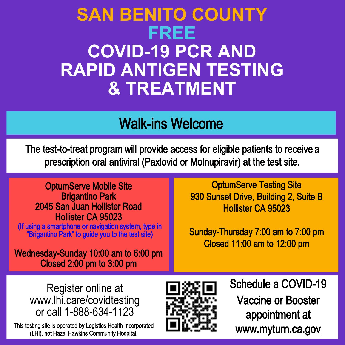## **SAN BENITO COUNTY FREE COVID-19 PCR AND RAPID ANTIGEN TESTING & TREATMENT**

## Walk-ins Welcome

The test-to-treat program will provide access for eligible patients to receive a prescription oral antiviral (Paxlovid or Molnupiravir) at the test site.

OptumServe Mobile Site Brigantino Park 2045 San Juan Hollister Road Hollister CA 95023

(If using a smartphone or navigation system, type in "Brigantino Park" to guide you to the test site)

Wednesday-Sunday 10:00 am to 6:00 pm Closed 2:00 pm to 3:00 pm

**OptumServe Testing Site** 930 Sunset Drive, Building 2, Suite B Hollister CA 95023

Sunday-Thursday 7:00 am to 7:00 pm Closed 11:00 am to 12:00 pm

Register online at www.lhi.care/covidtesting or call 1-888-634-1123

This testing site is operated by Logistics Health Incorporated (LHI), not Hazel Hawkins Community Hospital.



Schedule a COVID-19 Vaccine or Booster appointment at www.myturn.ca.gov